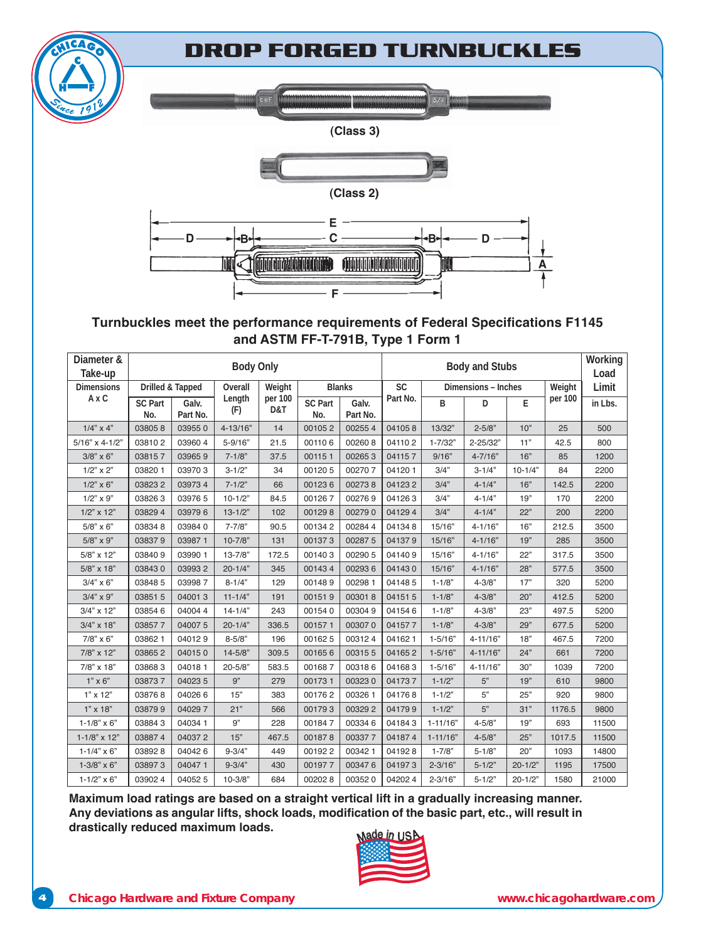## **DROP FORGED TURNBUCKLES**





#### **(Class 3)**



#### **Turnbuckles meet the performance requirements of Federal Specifications F1145** and ASTM FF-T-791B, Type 1 Form 1

| Diameter &<br>Take-up | <b>Body Only</b>      |                   |               |                |                       | <b>Body and Stubs</b> |                                  |              | Working<br>Load |             |         |         |
|-----------------------|-----------------------|-------------------|---------------|----------------|-----------------------|-----------------------|----------------------------------|--------------|-----------------|-------------|---------|---------|
| <b>Dimensions</b>     | Drilled & Tapped      |                   | Overall       | Weight         | <b>Blanks</b>         |                       | <b>SC</b><br>Dimensions - Inches |              |                 | Weight      | Limit   |         |
| AxC                   | <b>SC Part</b><br>No. | Galv.<br>Part No. | Length<br>(F) | per 100<br>D&T | <b>SC Part</b><br>No. | Galv.<br>Part No.     | Part No.                         | B            | D               | E           | per 100 | in Lbs. |
| $1/4$ " x 4"          | 038058                | 039550            | $4 - 13/16"$  | 14             | 001052                | 002554                | 041058                           | 13/32"       | $2 - 5/8"$      | 10"         | 25      | 500     |
| $5/16" \times 4-1/2"$ | 038102                | 039604            | $5 - 9/16"$   | 21.5           | 001106                | 002608                | 041102                           | $1 - 7/32"$  | 2-25/32"        | 11"         | 42.5    | 800     |
| $3/8$ " $\times$ 6"   | 038157                | 039659            | $7 - 1/8"$    | 37.5           | 001151                | 002653                | 041157                           | 9/16"        | $4 - 7/16"$     | 16"         | 85      | 1200    |
| $1/2$ " x 2"          | 03820 1               | 039703            | $3 - 1/2"$    | 34             | 001205                | 002707                | 041201                           | 3/4"         | $3 - 1/4"$      | $10 - 1/4"$ | 84      | 2200    |
| $1/2$ " x 6"          | 038232                | 039734            | $7 - 1/2"$    | 66             | 001236                | 002738                | 041232                           | 3/4"         | $4 - 1/4"$      | 16"         | 142.5   | 2200    |
| $1/2$ " x 9"          | 038263                | 03976 5           | $10-1/2"$     | 84.5           | 001267                | 002769                | 041263                           | 3/4"         | $4 - 1/4"$      | 19"         | 170     | 2200    |
| $1/2$ " x $12$ "      | 03829 4               | 039796            | $13 - 1/2"$   | 102            | 001298                | 002790                | 041294                           | 3/4"         | $4 - 1/4"$      | 22"         | 200     | 2200    |
| $5/8$ " x 6"          | 038348                | 039840            | $7 - 7/8"$    | 90.5           | 001342                | 002844                | 041348                           | 15/16"       | $4 - 1/16"$     | 16"         | 212.5   | 3500    |
| $5/8$ " x 9"          | 038379                | 039871            | $10 - 7/8"$   | 131            | 001373                | 002875                | 041379                           | 15/16"       | $4 - 1/16"$     | 19"         | 285     | 3500    |
| 5/8" x 12"            | 038409                | 03990 1           | $13 - 7/8"$   | 172.5          | 001403                | 00290 5               | 041409                           | 15/16"       | $4 - 1/16"$     | 22"         | 317.5   | 3500    |
| 5/8" x 18"            | 038430                | 039932            | $20 - 1/4"$   | 345            | 001434                | 002936                | 041430                           | 15/16"       | $4 - 1/16"$     | 28"         | 577.5   | 3500    |
| $3/4" \times 6"$      | 03848 5               | 039987            | $8 - 1/4"$    | 129            | 001489                | 00298 1               | 041485                           | $1 - 1/8"$   | $4 - 3/8"$      | 17"         | 320     | 5200    |
| $3/4$ " x 9"          | 03851 5               | 040013            | $11 - 1/4"$   | 191            | 001519                | 003018                | 041515                           | $1 - 1/8"$   | $4 - 3/8"$      | 20"         | 412.5   | 5200    |
| 3/4" x 12"            | 038546                | 040044            | $14 - 1/4"$   | 243            | 001540                | 003049                | 041546                           | $1 - 1/8"$   | $4 - 3/8"$      | 23"         | 497.5   | 5200    |
| $3/4" \times 18"$     | 038577                | 040075            | $20 - 1/4"$   | 336.5          | 001571                | 003070                | 041577                           | $1 - 1/8"$   | $4 - 3/8"$      | 29"         | 677.5   | 5200    |
| $7/8$ " x 6"          | 038621                | 040129            | $8 - 5/8"$    | 196            | 001625                | 003124                | 041621                           | $1 - 5/16"$  | $4 - 11/16"$    | 18"         | 467.5   | 7200    |
| 7/8" x 12"            | 038652                | 040150            | $14 - 5/8"$   | 309.5          | 001656                | 003155                | 041652                           | $1 - 5/16"$  | $4 - 11/16"$    | 24"         | 661     | 7200    |
| $7/8$ " x 18"         | 038683                | 040181            | $20 - 5/8"$   | 583.5          | 001687                | 003186                | 041683                           | $1 - 5/16"$  | $4 - 11/16"$    | 30"         | 1039    | 7200    |
| $1" \times 6"$        | 038737                | 040235            | 9"            | 279            | 001731                | 003230                | 041737                           | $1 - 1/2"$   | 5"              | 19"         | 610     | 9800    |
| $1" \times 12"$       | 038768                | 040266            | 15"           | 383            | 001762                | 00326 1               | 041768                           | $1 - 1/2"$   | 5"              | 25"         | 920     | 9800    |
| $1"$ x $18"$          | 038799                | 040297            | 21"           | 566            | 001793                | 003292                | 041799                           | $1 - 1/2"$   | 5"              | 31"         | 1176.5  | 9800    |
| $1 - 1/8" \times 6"$  | 038843                | 04034 1           | 9"            | 228            | 001847                | 003346                | 041843                           | $1 - 11/16"$ | $4 - 5/8"$      | 19"         | 693     | 11500   |
| $1 - 1/8$ " x 12"     | 038874                | 040372            | 15"           | 467.5          | 001878                | 003377                | 041874                           | $1 - 11/16"$ | $4 - 5/8"$      | 25"         | 1017.5  | 11500   |
| $1 - 1/4" \times 6"$  | 038928                | 040426            | $9 - 3/4"$    | 449            | 001922                | 003421                | 041928                           | $1 - 7/8"$   | $5 - 1/8"$      | 20"         | 1093    | 14800   |
| $1 - 3/8" \times 6"$  | 038973                | 040471            | $9 - 3/4"$    | 430            | 001977                | 003476                | 041973                           | $2 - 3/16"$  | $5 - 1/2"$      | $20 - 1/2"$ | 1195    | 17500   |
| $1 - 1/2" \times 6"$  | 039024                | 040525            | $10 - 3/8"$   | 684            | 002028                | 003520                | 042024                           | $2 - 3/16"$  | $5 - 1/2"$      | $20 - 1/2"$ | 1580    | 21000   |

Maximum load ratings are based on a straight vertical lift in a gradually increasing manner. Any deviations as angular lifts, shock loads, modification of the basic part, etc., will result in drastically reduced maximum loads.

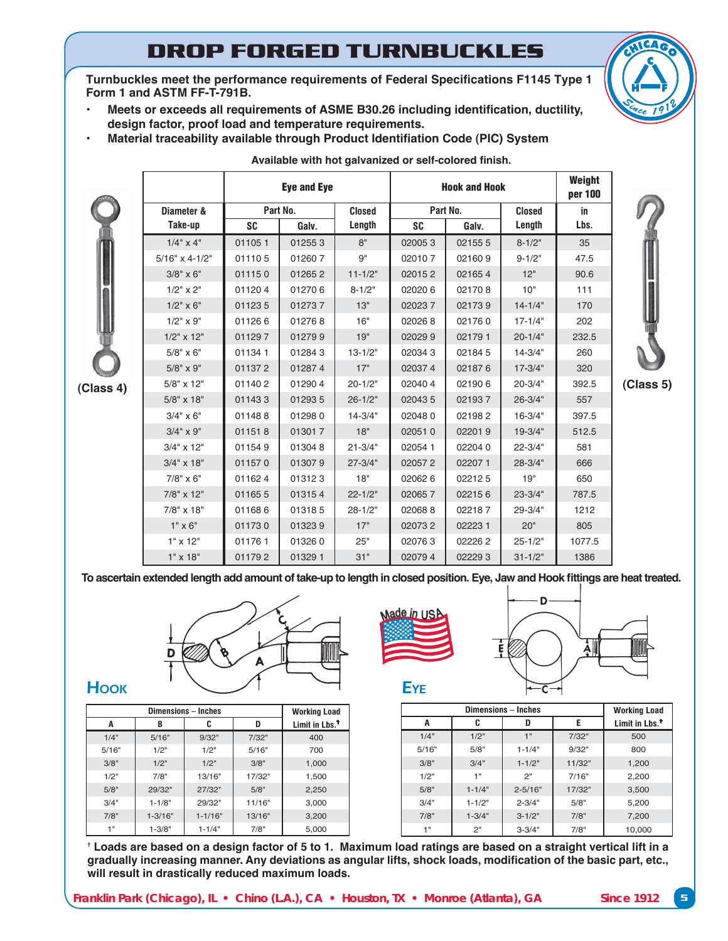## **DROP FORGED TURNBUCKLES**

Turnbuckles meet the performance requirements of Federal Specifications F1145 Type 1 Form 1 and ASTM FF-T-791B.

- Meets or exceeds all requirements of ASME B30.26 including identification, ductility, design factor, proof load and temperature requirements.
- **Material traceability available through Product Identifiation Code (PIC) System**

|           |                       |           | <b>Eye and Eye</b> |               |           | <b>Hook and Hook</b> |               | Weight<br>per 100 |           |
|-----------|-----------------------|-----------|--------------------|---------------|-----------|----------------------|---------------|-------------------|-----------|
|           | Diameter &            |           | Part No.           | <b>Closed</b> |           | Part No.             | <b>Closed</b> | in                |           |
|           | Take-up               | <b>SC</b> | Galv.              | Length        | <b>SC</b> | Galv.                | Length        | Lbs.              |           |
|           | $1/4$ " x 4"          | 011051    | 012553             | 8"            | 020053    | 021555               | $8 - 1/2"$    | 35                |           |
|           | $5/16" \times 4-1/2"$ | 011105    | 012607             | 9"            | 020107    | 021609               | $9 - 1/2"$    | 47.5              |           |
|           | $3/8" \times 6"$      | 011150    | 012652             | $11 - 1/2"$   | 020152    | 021654               | 12"           | 90.6              |           |
|           | $1/2" \times 2"$      | 011204    | 012706             | $8 - 1/2"$    | 020206    | 021708               | 10"           | 111               |           |
|           | $1/2" \times 6"$      | 011235    | 012737             | 13"           | 020237    | 021739               | $14 - 1/4"$   | 170               |           |
|           | $1/2" \times 9"$      | 011266    | 012768             | 16"           | 020268    | 021760               | $17 - 1/4"$   | 202               |           |
|           | $1/2$ " x $12$ "      | 011297    | 012799             | 19"           | 020299    | 021791               | $20 - 1/4"$   | 232.5             |           |
|           | $5/8" \times 6"$      | 011341    | 012843             | $13 - 1/2"$   | 020343    | 021845               | $14 - 3/4"$   | 260               |           |
|           | $5/8" \times 9"$      | 011372    | 012874             | 17"           | 020374    | 021876               | $17 - 3/4"$   | 320               |           |
| (Class 4) | 5/8" x 12"            | 011402    | 012904             | $20 - 1/2"$   | 020404    | 021906               | $20 - 3/4"$   | 392.5             | (Class 5) |
|           | $5/8" \times 18"$     | 011433    | 012935             | $26 - 1/2"$   | 020435    | 021937               | $26 - 3/4"$   | 557               |           |
|           | $3/4" \times 6"$      | 011488    | 012980             | $14 - 3/4"$   | 020480    | 021982               | $16 - 3/4"$   | 397.5             |           |
|           | $3/4" \times 9"$      | 011518    | 013017             | 18"           | 020510    | 022019               | $19-3/4"$     | 512.5             |           |
|           | $3/4$ " x 12"         | 011549    | 013048             | $21 - 3/4"$   | 020541    | 022040               | $22 - 3/4"$   | 581               |           |
|           | $3/4" \times 18"$     | 011570    | 013079             | $27 - 3/4"$   | 020572    | 022071               | $28 - 3/4"$   | 666               |           |
|           | $7/8" \times 6"$      | 011624    | 013123             | 18"           | 020626    | 022125               | 19"           | 650               |           |
|           | 7/8" x 12"            | 011655    | 013154             | $22 - 1/2"$   | 020657    | 022156               | $23 - 3/4"$   | 787.5             |           |
|           | 7/8" x 18"            | 011686    | 013185             | $28 - 1/2"$   | 020688    | 022187               | 29-3/4"       | 1212              |           |
|           | $1" \times 6"$        | 011730    | 013239             | 17"           | 020732    | 022231               | 20"           | 805               |           |
|           | $1" \times 12"$       | 011761    | 013260             | 25"           | 020763    | 022262               | $25 - 1/2"$   | 1077.5            |           |
|           | $1" \times 18"$       | 011792    | 01329 1            | 31"           | 020794    | 022293               | $31 - 1/2"$   | 1386              |           |

Available with hot galvanized or self-colored finish.

To ascertain extended length add amount of take-up to length in closed position. Eye, Jaw and Hook fittings are heat treated.



|       | <b>Working Load</b> |             |        |                            |
|-------|---------------------|-------------|--------|----------------------------|
| A     | B                   | C           | D      | Limit in Lbs. <sup>1</sup> |
| 1/4"  | 5/16"               | 9/32"       | 7/32"  | 400                        |
| 5/16" | 1/2"                | 1/2"        | 5/16"  | 700                        |
| 3/8"  | 1/2"                | 1/2"        | 3/8"   | 1,000                      |
| 1/2"  | 7/8"                | 13/16"      | 17/32" | 1,500                      |
| 5/8"  | 29/32"              | 27/32"      | 5/8"   | 2,250                      |
| 3/4"  | $1 - 1/8"$          | 29/32"      | 11/16" | 3,000                      |
| 7/8"  | $1 - 3/16"$         | $1 - 1/16"$ | 13/16" | 3,200                      |
| 1 "   | $1 - 3/8"$          | $1 - 1/4"$  | 7/8"   | 5,000                      |





|       | <b>Working Load</b> |             |        |        |  |
|-------|---------------------|-------------|--------|--------|--|
| A     | C                   | Е<br>D      |        |        |  |
| 1/4"  | 1/2"                | 1"          | 7/32"  | 500    |  |
| 5/16" | 5/8"                | $1 - 1/4"$  | 9/32"  | 800    |  |
| 3/8"  | 3/4"                | $1 - 1/2"$  | 11/32" | 1,200  |  |
| 1/2"  | 1"                  | 2"          | 7/16"  | 2,200  |  |
| 5/8"  | $1 - 1/4"$          | $2 - 5/16"$ | 17/32" | 3,500  |  |
| 3/4"  | $1 - 1/2"$          | $2 - 3/4"$  | 5/8"   | 5,200  |  |
| 7/8"  | $1 - 3/4"$          | $3 - 1/2"$  | 7/8"   | 7,200  |  |
| 1"    | 2"                  | $3 - 3/4"$  | 7/8"   | 10,000 |  |

 $^\dagger$  Loads are based on a design factor of 5 to 1. Maximum load ratings are based on a straight vertical lift in a gradually increasing manner. Any deviations as angular lifts, shock loads, modification of the basic part, etc., will result in drastically reduced maximum loads.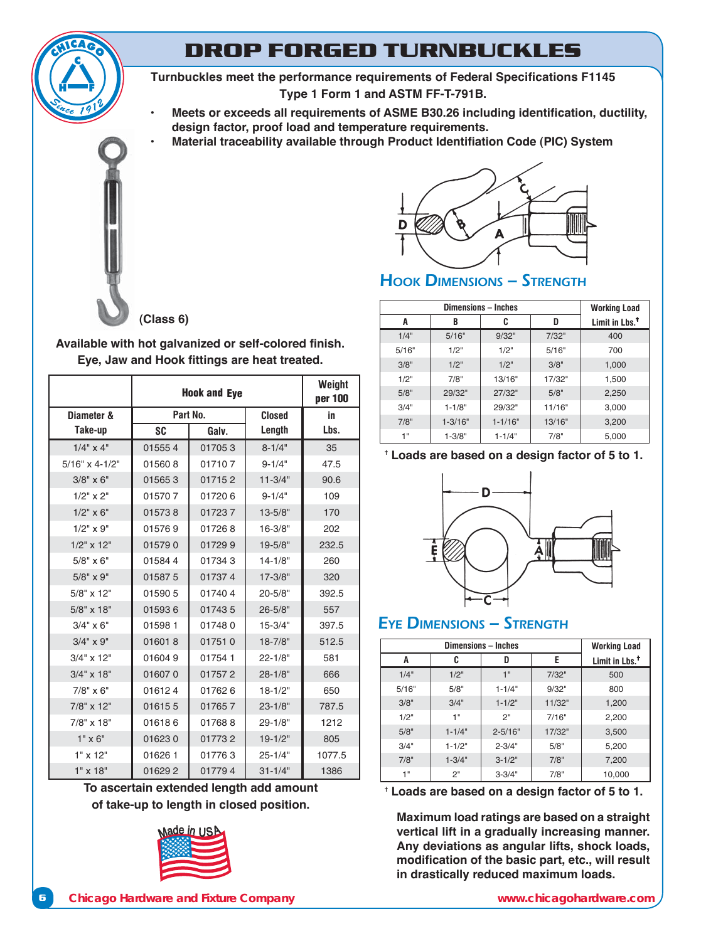

**Turnbuckles meet the performance requirements of Federal Specifications F1145** Type 1 Form 1 and ASTM FF-T-791B.

- **Meets or exceeds all requirements of ASME B30.26 including identification, ductility,** design factor, proof load and temperature requirements.
- **Material traceability available through Product Identifiation Code (PIC) System**



#### **(Class 6)**

Available with hot galvanized or self-colored finish. Eye, Jaw and Hook fittings are heat treated.

|                     | <b>Hook and Eye</b> | Weight<br>per 100 |               |        |
|---------------------|---------------------|-------------------|---------------|--------|
| Diameter &          |                     | Part No.          | <b>Closed</b> | in     |
| Take-up             | SC                  | Galv.             |               | Lbs.   |
| $1/4$ " $\times$ 4" | 015554              | 017053            | $8 - 1/4"$    | 35     |
| $5/16"$ x 4-1/2"    | 015608              | 017107            | $9 - 1/4"$    | 47.5   |
| $3/8" \times 6"$    | 015653              | 017152            | $11 - 3/4"$   | 90.6   |
| $1/2$ " $\times$ 2" | 015707              | 017206            | $9 - 1/4"$    | 109    |
| $1/2$ " x 6"        | 015738              | 017237            | $13 - 5/8"$   | 170    |
| $1/2$ " $\times$ 9" | 015769              | 017268            | $16 - 3/8"$   | 202    |
| $1/2$ " x $12$ "    | 015790              | 017299            | $19 - 5/8"$   | 232.5  |
| $5/8" \times 6"$    | 015844              | 017343            | $14 - 1/8"$   | 260    |
| $5/8" \times 9"$    | 015875              | 017374            | $17 - 3/8"$   | 320    |
| $5/8" \times 12"$   | 015905              | 017404            | $20 - 5/8"$   | 392.5  |
| $5/8" \times 18"$   | 015936              | 017435            | $26 - 5/8"$   | 557    |
| $3/4" \times 6"$    | 015981              | 017480            | $15 - 3/4"$   | 397.5  |
| $3/4" \times 9"$    | 016018              | 017510            | $18 - 7/8"$   | 512.5  |
| $3/4" \times 12"$   | 016049              | 017541            | $22 - 1/8"$   | 581    |
| $3/4" \times 18"$   | 016070              | 017572            | $28 - 1/8"$   | 666    |
| $7/8" \times 6"$    | 016124              | 017626            | $18 - 1/2"$   | 650    |
| 7/8" x 12"          | 016155              | 017657            | $23 - 1/8"$   | 787.5  |
| 7/8" x 18"          | 016186              | 017688            | $29 - 1/8"$   | 1212   |
| $1" \times 6"$      | 016230              | 017732            | $19 - 1/2"$   | 805    |
| $1" \times 12"$     | 016261              | 017763            | $25 - 1/4"$   | 1077.5 |
| $1" \times 18"$     | 016292              | 017794            | $31 - 1/4"$   | 1386   |

**To ascertain extended length add amount of take-up to length in closed position.**





## HOOK DIMENSIONS - STRENGTH

|       | <b>Working Load</b> |             |        |                            |
|-------|---------------------|-------------|--------|----------------------------|
| A     | B                   | C           | D      | Limit in Lbs. <sup>†</sup> |
| 1/4"  | 5/16"               | 9/32"       | 7/32"  | 400                        |
| 5/16" | 1/2"                | 1/2"        | 5/16"  | 700                        |
| 3/8"  | 1/2"                | 1/2"        | 3/8"   | 1,000                      |
| 1/2"  | 7/8"                | 13/16"      | 17/32" | 1,500                      |
| 5/8"  | 29/32"              | 27/32"      | 5/8"   | 2,250                      |
| 3/4"  | $1 - 1/8"$          | 29/32"      | 11/16" | 3,000                      |
| 7/8"  | $1 - 3/16"$         | $1 - 1/16"$ | 13/16" | 3,200                      |
| 1"    | $1 - 3/8"$          | $1 - 1/4"$  | 7/8"   | 5,000                      |

t Loads are based on a design factor of 5 to 1.



### EYE DIMENSIONS – STRENGTH

|       | <b>Working Load</b> |             |        |                            |
|-------|---------------------|-------------|--------|----------------------------|
| A     | C                   | D           | E      | Limit in Lbs. <sup>†</sup> |
| 1/4"  | 1/2"                | 1"          | 7/32"  | 500                        |
| 5/16" | 5/8"                | $1 - 1/4"$  | 9/32"  | 800                        |
| 3/8"  | 3/4"                | $1 - 1/2"$  | 11/32" | 1,200                      |
| 1/2"  | 1"                  | 2"          | 7/16"  | 2,200                      |
| 5/8"  | $1 - 1/4"$          | $2 - 5/16"$ | 17/32" | 3,500                      |
| 3/4"  | $1 - 1/2"$          | $2 - 3/4"$  | 5/8"   | 5,200                      |
| 7/8"  | $1 - 3/4"$          | $3 - 1/2"$  | 7/8"   | 7,200                      |
| 4 !!  | 2"                  | $3 - 3/4"$  | 7/8"   | 10,000                     |

**Loads are based on a design factor of 5 to 1.** 

**Maximum load ratings are based on a straight vertical lift in a gradually increasing manner.** Any deviations as angular lifts, shock loads, modification of the basic part, etc., will result in drastically reduced maximum loads.